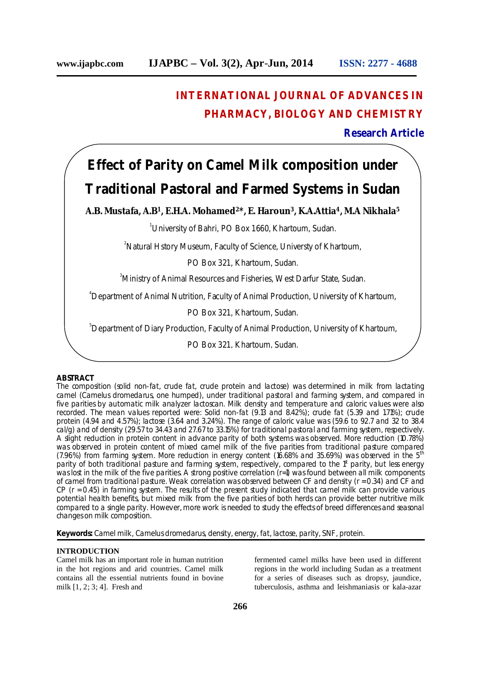## **INTERNATIONAL JOURNAL OF ADVANCES IN PHARMACY, BIOLOGY AND CHEMISTRY**

**Research Article**

# **Effect of Parity on Camel Milk composition under Traditional Pastoral and Farmed Systems in Sudan**

**A.B. Mustafa, A.B<sup>1</sup>, E.H.A. Mohamed<sup>2</sup>\*, E. Haroun<sup>3</sup>, K.A.Attia<sup>4</sup>, M.A Nikhala<sup>5</sup>**

<sup>1</sup> University of Bahri, PO Box 1660, Khartoum, Sudan.

<sup>2</sup>Natural Hstory Museum, Faculty of Science, Universty of Khartoum,

PO Box 321, Khartoum, Sudan.

<sup>3</sup>Ministry of Animal Resources and Fisheries, West Darfur State, Sudan.

<sup>4</sup>Department of Animal Nutrition, Faculty of Animal Production, University of Khartoum,

PO Box 321, Khartoum, Sudan.

<sup>5</sup>Department of Diary Production, Faculty of Animal Production, University of Khartoum,

PO Box 321, Khartoum, Sudan.

#### **ABSTRACT**

The composition (solid non-fat, crude fat, crude protein and lactose) was determined in milk from lactating camel (*Camelus dromedarus,* one humped), under traditional pastoral and farming system, and compared in five parities by automatic milk analyzer lactoscan. Milk density and temperature and caloric values were also recorded. The mean values reported were: Solid non-fat (9.13 and 8.42%); crude fat (5.39 and 1.71%); crude protein (4.94 and 4.57%); lactose (3.64 and 3.24%). The range of caloric value was (59.6 to 92.7 and 32 to 38.4 cal/g) and of density (29.57 to 34.43 and 27.67 to 33.15%) for traditional pastoral and farming system, respectively. A slight reduction in protein content in advance parity of both systems was observed. More reduction (10.78%) was observed in protein content of mixed camel milk of the five parities from traditional pasture compared (7.96%) from farming system. More reduction in energy content (16.68% and 35.69%) was observed in the  $5<sup>th</sup>$ parity of both traditional pasture and farming system, respectively, compared to the 1<sup>st</sup> parity, but less energy was lost in the milk of the five parities. A strong positive correlation (r=1) was found between all milk components of camel from traditional pasture. Weak correlation was observed between CF and density (r = 0.34) and CF and CP (r = 0.45) in farming system. The results of the present study indicated that camel milk can provide various potential health benefits, but mixed milk from the five parities of both herds can provide better nutritive milk compared to a single parity. However, more work is needed to study the effects of breed differences and seasonal changes on milk composition.

**Keywords:** Camel milk, *Camelus dromedarus*, density, energy, fat, lactose, parity, SNF, protein.

#### **INTRODUCTION**

Camel milk has an important role in human nutrition in the hot regions and arid countries. Camel milk contains all the essential nutrients found in bovine milk [1, 2; 3; 4]. Fresh and

fermented camel milks have been used in different regions in the world including Sudan as a treatment for a series of diseases such as dropsy, jaundice, tuberculosis, asthma and leishmaniasis or kala-azar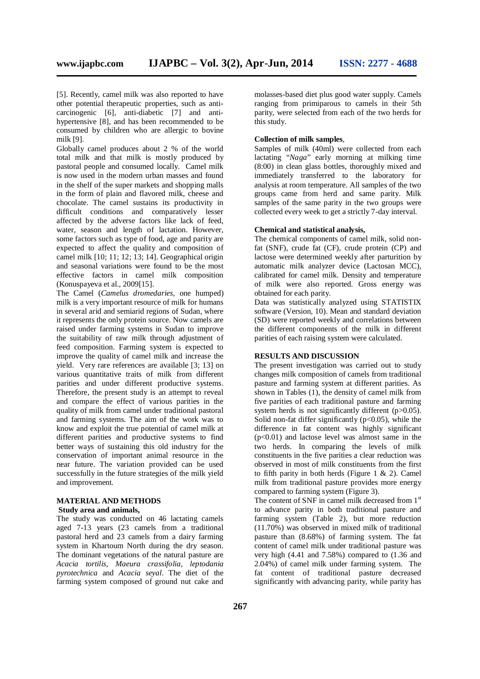[5]. Recently, camel milk was also reported to have other potential therapeutic properties, such as anticarcinogenic [6], anti-diabetic [7] and antihypertensive [8], and has been recommended to be consumed by children who are allergic to bovine

milk [9]. Globally camel produces about 2 % of the world total milk and that milk is mostly produced by pastoral people and consumed locally. Camel milk is now used in the modern urban masses and found in the shelf of the super markets and shopping malls in the form of plain and flavored milk, cheese and chocolate. The camel sustains its productivity in difficult conditions and comparatively lesser affected by the adverse factors like lack of feed, water, season and length of lactation. However, some factors such as type of food, age and parity are expected to affect the quality and composition of camel milk [10; 11; 12; 13; 14]. Geographical origin and seasonal variations were found to be the most effective factors in camel milk composition (Konuspayeva et al., 2009[15].

The Camel (*Camelus dromedaries,* one humped) milk is a very important resource of milk for humans in several arid and semiarid regions of Sudan, where it represents the only protein source. Now camels are raised under farming systems in Sudan to improve the suitability of raw milk through adjustment of feed composition. Farming system is expected to improve the quality of camel milk and increase the yield. Very rare references are available [3; 13] on various quantitative traits of milk from different parities and under different productive systems. Therefore, the present study is an attempt to reveal and compare the effect of various parities in the quality of milk from camel under traditional pastoral and farming systems. The aim of the work was to know and exploit the true potential of camel milk at different parities and productive systems to find better ways of sustaining this old industry for the conservation of important animal resource in the near future. The variation provided can be used successfully in the future strategies of the milk yield and improvement.

### **MATERIAL AND METHODS**

#### **Study area and animals,**

The study was conducted on 46 lactating camels aged 7-13 years (23 camels from a traditional pastoral herd and 23 camels from a dairy farming system in Khartoum North during the dry season. The dominant vegetations of the natural pasture are *Acacia tortilis, Maeura crassifolia, leptodania pyrotechnica* and *Acacia seyal*. The diet of the farming system composed of ground nut cake and

molasses-based diet plus good water supply. Camels ranging from primiparous to camels in their 5th parity, were selected from each of the two herds for this study.

#### **Collection of milk samples**,

Samples of milk (40ml) were collected from each lactating "*Naga*" early morning at milking time (8:00) in clean glass bottles, thoroughly mixed and immediately transferred to the laboratory for analysis at room temperature. All samples of the two groups came from herd and same parity. Milk samples of the same parity in the two groups were collected every week to get a strictly 7-day interval.

#### **Chemical and statistical analysis,**

The chemical components of camel milk, solid nonfat (SNF), crude fat (CF), crude protein (CP) and lactose were determined weekly after parturition by automatic milk analyzer device (Lactosan MCC), calibrated for camel milk. Density and temperature of milk were also reported. Gross energy was obtained for each parity.

Data was statistically analyzed using STATISTIX software (Version, 10). Mean and standard deviation (SD) were reported weekly and correlations between the different components of the milk in different parities of each raising system were calculated.

#### **RESULTS AND DISCUSSION**

The present investigation was carried out to study changes milk composition of camels from traditional pasture and farming system at different parities. As shown in Tables (1), the density of camel milk from five parities of each traditional pasture and farming system herds is not significantly different (p>0.05). Solid non-fat differ significantly  $(p<0.05)$ , while the difference in fat content was highly significant  $(p<0.01)$  and lactose level was almost same in the two herds. In comparing the levels of milk constituents in the five parities a clear reduction was observed in most of milk constituents from the first to fifth parity in both herds (Figure  $1 \& 2$ ). Camel milk from traditional pasture provides more energy compared to farming system (Figure 3).

The content of SNF in camel milk decreased from 1<sup>st</sup> to advance parity in both traditional pasture and farming system (Table 2), but more reduction (11.70%) was observed in mixed milk of traditional pasture than (8.68%) of farming system. The fat content of camel milk under traditional pasture was very high (4.41 and 7.58%) compared to (1.36 and 2.04%) of camel milk under farming system. The fat content of traditional pasture decreased significantly with advancing parity, while parity has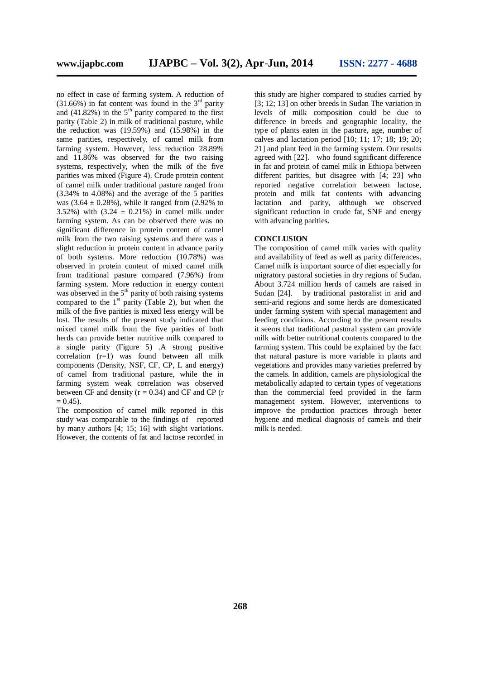no effect in case of farming system. A reduction of  $(31.66%)$  in fat content was found in the 3<sup>rd</sup> parity and  $(41.82\%)$  in the  $5<sup>th</sup>$  parity compared to the first parity (Table 2) in milk of traditional pasture, while the reduction was  $(19.59\%)$  and  $(15.98\%)$  in the same parities, respectively, of camel milk from farming system. However, less reduction 28.89% and 11.86% was observed for the two raising systems, respectively, when the milk of the five parities was mixed (Figure 4). Crude protein content of camel milk under traditional pasture ranged from (3.34% to 4.08%) and the average of the 5 parities was  $(3.64 \pm 0.28\%)$ , while it ranged from  $(2.92\%$  to 3.52%) with  $(3.24 \pm 0.21\%)$  in camel milk under farming system. As can be observed there was no significant difference in protein content of camel milk from the two raising systems and there was a slight reduction in protein content in advance parity of both systems. More reduction (10.78%) was observed in protein content of mixed camel milk from traditional pasture compared (7.96%) from farming system. More reduction in energy content was observed in the  $5<sup>th</sup>$  parity of both raising systems compared to the  $1<sup>st</sup>$  parity (Table 2), but when the milk of the five parities is mixed less energy will be lost. The results of the present study indicated that mixed camel milk from the five parities of both herds can provide better nutritive milk compared to a single parity (Figure 5) .A strong positive correlation (r=1) was found between all milk components (Density, NSF, CF, CP, L and energy) of camel from traditional pasture, while the in farming system weak correlation was observed between CF and density  $(r = 0.34)$  and CF and CP  $(r = 0.34)$  $= 0.45$ ).

The composition of camel milk reported in this study was comparable to the findings of reported by many authors [4; 15; 16] with slight variations. However, the contents of fat and lactose recorded in

this study are higher compared to studies carried by [3; 12; 13] on other breeds in Sudan The variation in levels of milk composition could be due to difference in breeds and geographic locality, the type of plants eaten in the pasture, age, number of calves and lactation period [10; 11; 17; 18; 19; 20; 21] and plant feed in the farming system. Our results agreed with [22]. who found significant difference in fat and protein of camel milk in Ethiopa between different parities, but disagree with [4; 23] who reported negative correlation between lactose, protein and milk fat contents with advancing lactation and parity, although we observed significant reduction in crude fat, SNF and energy with advancing parities.

#### **CONCLUSION**

The composition of camel milk varies with quality and availability of feed as well as parity differences. Camel milk is important source of diet especially for migratory pastoral societies in dry regions of Sudan. About 3.724 million herds of camels are raised in Sudan [24]. by traditional pastoralist in arid and semi-arid regions and some herds are domesticated under farming system with special management and feeding conditions. According to the present results it seems that traditional pastoral system can provide milk with better nutritional contents compared to the farming system. This could be explained by the fact that natural pasture is more variable in plants and vegetations and provides many varieties preferred by the camels. In addition, camels are physiological the metabolically adapted to certain types of vegetations than the commercial feed provided in the farm management system. However, interventions to improve the production practices through better hygiene and medical diagnosis of camels and their milk is needed.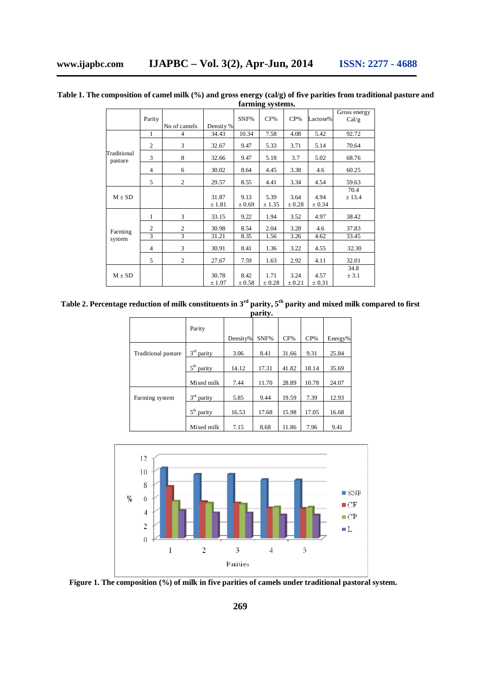|                        | Parity         | No of camels   | Density %       | SNF%               | CF%                | $CP\%$             | Lactose%           | Gross energy<br>Cal/g |
|------------------------|----------------|----------------|-----------------|--------------------|--------------------|--------------------|--------------------|-----------------------|
| Traditional<br>pasture | 1              | $\overline{4}$ | 34.43           | 10.34              | 7.58               | 4.08               | 5.42               | 92.72                 |
|                        | $\overline{c}$ | 3              | 32.67           | 9.47               | 5.33               | 3.71               | 5.14               | 70.64                 |
|                        | 3              | 8              | 32.66           | 9.47               | 5.18               | 3.7                | 5.02               | 68.76                 |
|                        | $\overline{4}$ | 6              | 30.02           | 8.64               | 4.45               | 3.38               | 4.6                | 60.25                 |
|                        | 5              | $\overline{2}$ | 29.57           | 8.55               | 4.41               | 3.34               | 4.54               | 59.63                 |
| $M \pm SD$             |                |                | 31.87<br>± 1.81 | 9.13<br>± 0.69     | 5.39<br>± 1.35     | 3.64<br>$\pm 0.28$ | 4.94<br>$\pm 0.34$ | 70.4<br>± 13.4        |
| Farming<br>system      | 1              | 3              | 33.15           | 9.22               | 1.94               | 3.52               | 4.97               | 38.42                 |
|                        | $\overline{2}$ | $\overline{c}$ | 30.98           | 8.54               | 2.04               | 3.28               | 4.6                | 37.83                 |
|                        | 3              | 3              | 31.21           | 8.35               | 1.56               | 3.26               | 4.62               | 33.45                 |
|                        | 4              | 3              | 30.91           | 8.41               | 1.36               | 3.22               | 4.55               | 32.30                 |
|                        | 5              | $\overline{2}$ | 27.67           | 7.59               | 1.63               | 2.92               | 4.11               | 32.01                 |
| $M \pm SD$             |                |                | 30.78<br>± 1.97 | 8.42<br>$\pm 0.58$ | 1.71<br>$\pm 0.28$ | 3.24<br>$\pm 0.21$ | 4.57<br>$\pm 0.31$ | 34.8<br>± 3.1         |

**Table 1. The composition of camel milk (%) and gross energy (cal/g) of five parities from traditional pasture and farming systems.**

**Table 2. Percentage reduction of milk constituents in 3rd parity, 5th parity and mixed milk compared to first** 

|                     | parity.                   |          |       |       |        |         |  |  |  |
|---------------------|---------------------------|----------|-------|-------|--------|---------|--|--|--|
|                     | Parity                    |          |       |       |        |         |  |  |  |
|                     |                           | Density% | SNF%  | CF%   | $CP\%$ | Energy% |  |  |  |
| Traditional pasture | $3rd$ parity              | 3.06     | 8.41  | 31.66 | 9.31   | 25.84   |  |  |  |
|                     | $5^{\text{th}}$<br>parity | 14.12    | 17.31 | 41.82 | 18.14  | 35.69   |  |  |  |
|                     | Mixed milk                | 7.44     | 11.70 | 28.89 | 10.78  | 24.07   |  |  |  |
| Farming system      | 3 <sup>rd</sup><br>parity | 5.85     | 9.44  | 19.59 | 7.39   | 12.93   |  |  |  |
|                     | 5 <sup>th</sup><br>parity | 16.53    | 17.68 | 15.98 | 17.05  | 16.68   |  |  |  |
|                     | Mixed milk                | 7.15     | 8.68  | 11.86 | 7.96   | 9.41    |  |  |  |



**Figure 1. The composition (%) of milk in five parities of camels under traditional pastoral system.**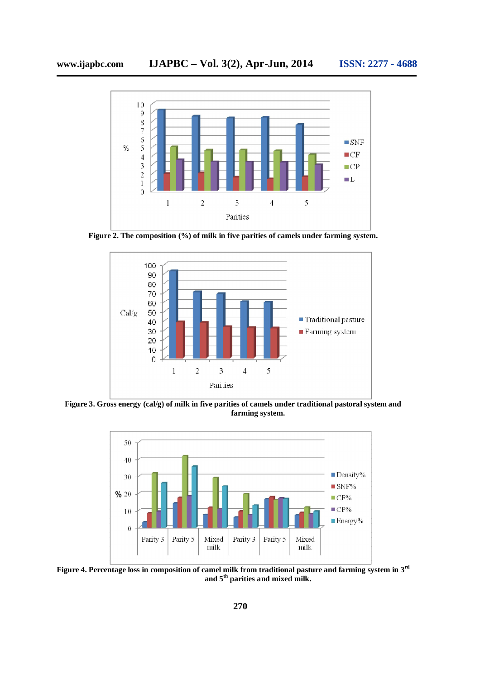

Figure 2. The composition (%) of milk in five parities of camels under farming system.



**Figure 3. Gross energy (cal/g) of milk in five parities of camels under traditional pastoral system and farming system.**



**Figure 4. Percentage loss in composition of camel milk from traditional pasture and farming system in 3rd and 5th parities and mixed milk.**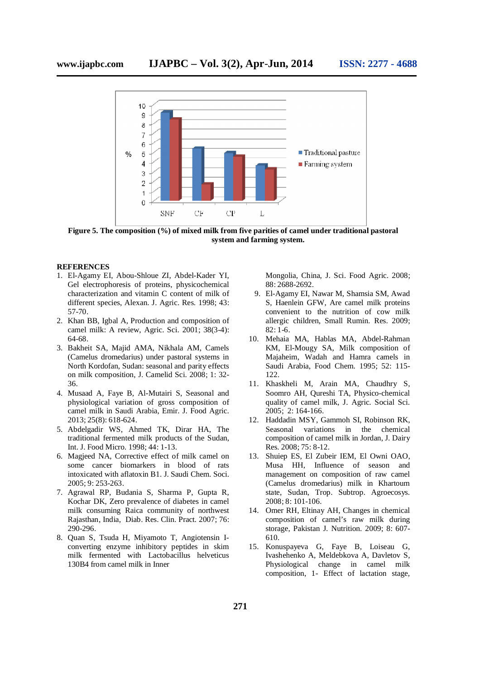

**Figure 5. The composition (%) of mixed milk from five parities of camel under traditional pastoral system and farming system.**

#### **REFERENCES**

- 1. El-Agamy EI, Abou-Shloue ZI, Abdel-Kader YI, Gel electrophoresis of proteins, physicochemical characterization and vitamin C content of milk of different species, Alexan. J. Agric. Res. 1998; 43: 57-70.
- 2. Khan BB, Igbal A, Production and composition of camel milk: A review, Agric. Sci. 2001; 38(3-4): 64-68.
- 3. Bakheit SA, Majid AMA, Nikhala AM, Camels (Camelus dromedarius) under pastoral systems in North Kordofan, Sudan: seasonal and parity effects on milk composition, J. Camelid Sci. 2008; 1: 32- 36.
- 4. Musaad A, Faye B, Al-Mutairi S, Seasonal and physiological variation of gross composition of camel milk in Saudi Arabia, Emir. J. Food Agric. 2013; 25(8): 618-624.
- 5. Abdelgadir WS, Ahmed TK, Dirar HA, The traditional fermented milk products of the Sudan, Int. J. Food Micro. 1998; 44: 1-13.
- 6. Magjeed NA, Corrective effect of milk camel on some cancer biomarkers in blood of rats intoxicated with aflatoxin B1. J. Saudi Chem. Soci. 2005; 9: 253-263.
- 7. Agrawal RP, Budania S, Sharma P, Gupta R, Kochar DK, Zero prevalence of diabetes in camel milk consuming Raica community of northwest Rajasthan, India, Diab. Res. Clin. Pract. 2007; 76: 290-296.
- 8. Quan S, Tsuda H, Miyamoto T, Angiotensin Iconverting enzyme inhibitory peptides in skim milk fermented with Lactobacillus helveticus 130B4 from camel milk in Inner

Mongolia, China, J. Sci. Food Agric. 2008; 88: 2688-2692.

- 9. El-Agamy EI, Nawar M, Shamsia SM, Awad S, Haenlein GFW, Are camel milk proteins convenient to the nutrition of cow milk allergic children, Small Rumin. Res. 2009; 82: 1-6.
- 10. Mehaia MA, Hablas MA, Abdel-Rahman KM, El-Mougy SA, Milk composition of Majaheim, Wadah and Hamra camels in Saudi Arabia, Food Chem. 1995; 52: 115- 122.
- 11. Khaskheli M, Arain MA, Chaudhry S, Soomro AH, Qureshi TA, Physico-chemical quality of camel milk, J. Agric. Social Sci. 2005; 2: 164-166.
- 12. Haddadin MSY, Gammoh SI, Robinson RK, Seasonal variations in the chemical composition of camel milk in Jordan, J. Dairy Res. 2008; 75: 8-12.
- 13. Shuiep ES, El Zubeir IEM, El Owni OAO, Musa HH, Influence of season and management on composition of raw camel (Camelus dromedarius) milk in Khartoum state, Sudan, Trop. Subtrop. Agroecosys. 2008; 8: 101-106.
- 14. Omer RH, Eltinay AH, Changes in chemical composition of camel's raw milk during storage, Pakistan J. Nutrition. 2009; 8: 607- 610.
- 15. Konuspayeva G, Faye B, Loiseau G, Ivashehenko A, Meldebkova A, Davletov S, Physiological change in camel milk composition, 1- Effect of lactation stage,